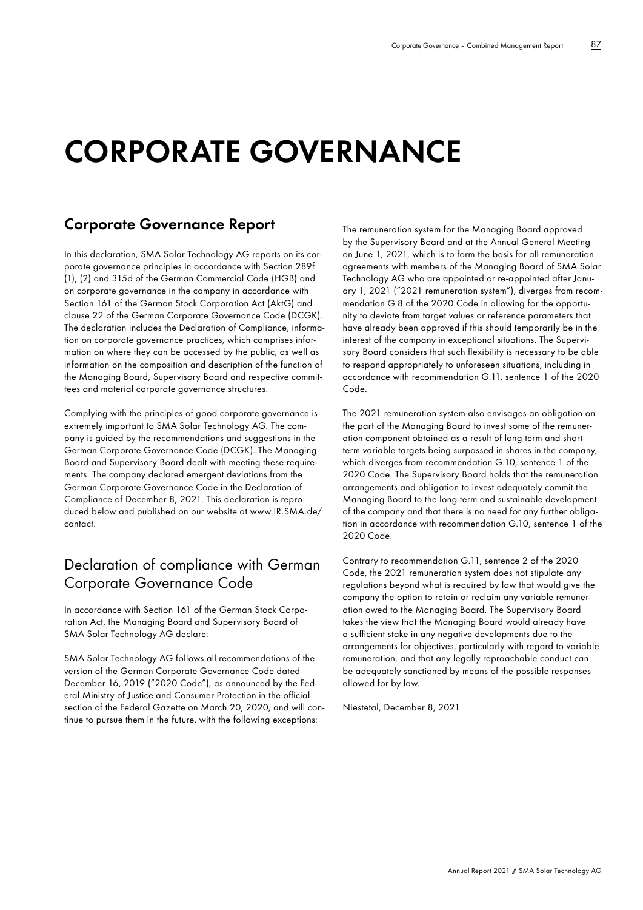# **CORPORATE GOVERNANCE**

# **Corporate Governance Report**

In this declaration, SMA Solar Technology AG reports on its corporate governance principles in accordance with Section 289f (1), (2) and 315d of the German Commercial Code (HGB) and on corporate governance in the company in accordance with Section 161 of the German Stock Corporation Act (AktG) and clause 22 of the German Corporate Governance Code (DCGK). The declaration includes the Declaration of Compliance, information on corporate governance practices, which comprises information on where they can be accessed by the public, as well as information on the composition and description of the function of the Managing Board, Supervisory Board and respective committees and material corporate governance structures.

Complying with the principles of good corporate governance is extremely important to SMA Solar Technology AG. The company is guided by the recommendations and suggestions in the German Corporate Governance Code (DCGK). The Managing Board and Supervisory Board dealt with meeting these requirements. The company declared emergent deviations from the German Corporate Governance Code in the Declaration of Compliance of December 8, 2021. This declaration is reproduced below and published on our website at [www.IR.SMA.de/](http://www.IR.SMA.de/contact) [contact.](http://www.IR.SMA.de/contact)

# Declaration of compliance with German Corporate Governance Code

In accordance with Section 161 of the German Stock Corporation Act, the Managing Board and Supervisory Board of SMA Solar Technology AG declare:

SMA Solar Technology AG follows all recommendations of the version of the German Corporate Governance Code dated December 16, 2019 ("2020 Code"), as announced by the Federal Ministry of Justice and Consumer Protection in the official section of the Federal Gazette on March 20, 2020, and will continue to pursue them in the future, with the following exceptions:

The remuneration system for the Managing Board approved by the Supervisory Board and at the Annual General Meeting on June 1, 2021, which is to form the basis for all remuneration agreements with members of the Managing Board of SMA Solar Technology AG who are appointed or re-appointed after January 1, 2021 ("2021 remuneration system"), diverges from recommendation G.8 of the 2020 Code in allowing for the opportunity to deviate from target values or reference parameters that have already been approved if this should temporarily be in the interest of the company in exceptional situations. The Supervisory Board considers that such flexibility is necessary to be able to respond appropriately to unforeseen situations, including in accordance with recommendation G.11, sentence 1 of the 2020 Code.

The 2021 remuneration system also envisages an obligation on the part of the Managing Board to invest some of the remuneration component obtained as a result of long-term and shortterm variable targets being surpassed in shares in the company, which diverges from recommendation G.10, sentence 1 of the 2020 Code. The Supervisory Board holds that the remuneration arrangements and obligation to invest adequately commit the Managing Board to the long-term and sustainable development of the company and that there is no need for any further obligation in accordance with recommendation G.10, sentence 1 of the 2020 Code.

Contrary to recommendation G.11, sentence 2 of the 2020 Code, the 2021 remuneration system does not stipulate any regulations beyond what is required by law that would give the company the option to retain or reclaim any variable remuneration owed to the Managing Board. The Supervisory Board takes the view that the Managing Board would already have a sufficient stake in any negative developments due to the arrangements for objectives, particularly with regard to variable remuneration, and that any legally reproachable conduct can be adequately sanctioned by means of the possible responses allowed for by law.

Niestetal, December 8, 2021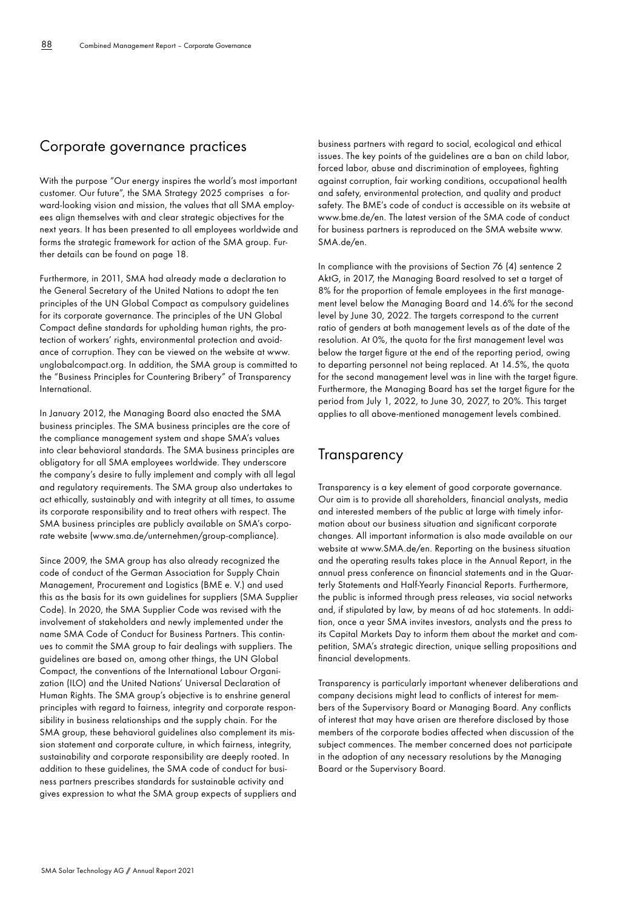#### Corporate governance practices

With the purpose "Our energy inspires the world's most important customer. Our future", the SMA Strategy 2025 comprises a forward-looking vision and mission, the values that all SMA employees align themselves with and clear strategic objectives for the next years. It has been presented to all employees worldwide and forms the strategic framework for action of the SMA group. Further details can be found on page 18.

Furthermore, in 2011, SMA had already made a declaration to the General Secretary of the United Nations to adopt the ten principles of the UN Global Compact as compulsory guidelines for its corporate governance. The principles of the UN Global Compact define standards for upholding human rights, the protection of workers' rights, environmental protection and avoidance of corruption. They can be viewed on the website at [www.](http://www.unglobalcompact.org) [unglobalcompact.org.](http://www.unglobalcompact.org) In addition, the SMA group is committed to the "Business Principles for Countering Bribery" of Transparency International.

In January 2012, the Managing Board also enacted the SMA business principles. The SMA business principles are the core of the compliance management system and shape SMA's values into clear behavioral standards. The SMA business principles are obligatory for all SMA employees worldwide. They underscore the company's desire to fully implement and comply with all legal and regulatory requirements. The SMA group also undertakes to act ethically, sustainably and with integrity at all times, to assume its corporate responsibility and to treat others with respect. The SMA business principles are publicly available on SMA's corporate website [\(www.sma.de/unternehmen/group-compliance](http://www.sma.de/unternehmen/group-compliance)).

Since 2009, the SMA group has also already recognized the code of conduct of the German Association for Supply Chain Management, Procurement and Logistics (BME e. V.) and used this as the basis for its own guidelines for suppliers (SMA Supplier Code). In 2020, the SMA Supplier Code was revised with the involvement of stakeholders and newly implemented under the name SMA Code of Conduct for Business Partners. This continues to commit the SMA group to fair dealings with suppliers. The guidelines are based on, among other things, the UN Global Compact, the conventions of the International Labour Organization (ILO) and the United Nations' Universal Declaration of Human Rights. The SMA group's objective is to enshrine general principles with regard to fairness, integrity and corporate responsibility in business relationships and the supply chain. For the SMA group, these behavioral guidelines also complement its mission statement and corporate culture, in which fairness, integrity, sustainability and corporate responsibility are deeply rooted. In addition to these guidelines, the SMA code of conduct for business partners prescribes standards for sustainable activity and gives expression to what the SMA group expects of suppliers and

business partners with regard to social, ecological and ethical issues. The key points of the guidelines are a ban on child labor, forced labor, abuse and discrimination of employees, fighting against corruption, fair working conditions, occupational health and safety, environmental protection, and quality and product safety. The BME's code of conduct is accessible on its website at [www.bme.de/en.](http://www.bme.de/en) The latest version of the SMA code of conduct for business partners is reproduced on the SMA website [www.](http://www.SMA.de/en) [SMA.de/en.](http://www.SMA.de/en)

In compliance with the provisions of Section 76 (4) sentence 2 AktG, in 2017, the Managing Board resolved to set a target of 8% for the proportion of female employees in the first management level below the Managing Board and 14.6% for the second level by June 30, 2022. The targets correspond to the current ratio of genders at both management levels as of the date of the resolution. At 0%, the quota for the first management level was below the target figure at the end of the reporting period, owing to departing personnel not being replaced. At 14.5%, the quota for the second management level was in line with the target figure. Furthermore, the Managing Board has set the target figure for the period from July 1, 2022, to June 30, 2027, to 20%. This target applies to all above-mentioned management levels combined.

#### **Transparency**

Transparency is a key element of good corporate governance. Our aim is to provide all shareholders, financial analysts, media and interested members of the public at large with timely information about our business situation and significant corporate changes. All important information is also made available on our website at [www.SMA.de/en](http://www.SMA.de/en). Reporting on the business situation and the operating results takes place in the Annual Report, in the annual press conference on financial statements and in the Quarterly Statements and Half-Yearly Financial Reports. Furthermore, the public is informed through press releases, via social networks and, if stipulated by law, by means of ad hoc statements. In addition, once a year SMA invites investors, analysts and the press to its Capital Markets Day to inform them about the market and competition, SMA's strategic direction, unique selling propositions and financial developments.

Transparency is particularly important whenever deliberations and company decisions might lead to conflicts of interest for members of the Supervisory Board or Managing Board. Any conflicts of interest that may have arisen are therefore disclosed by those members of the corporate bodies affected when discussion of the subject commences. The member concerned does not participate in the adoption of any necessary resolutions by the Managing Board or the Supervisory Board.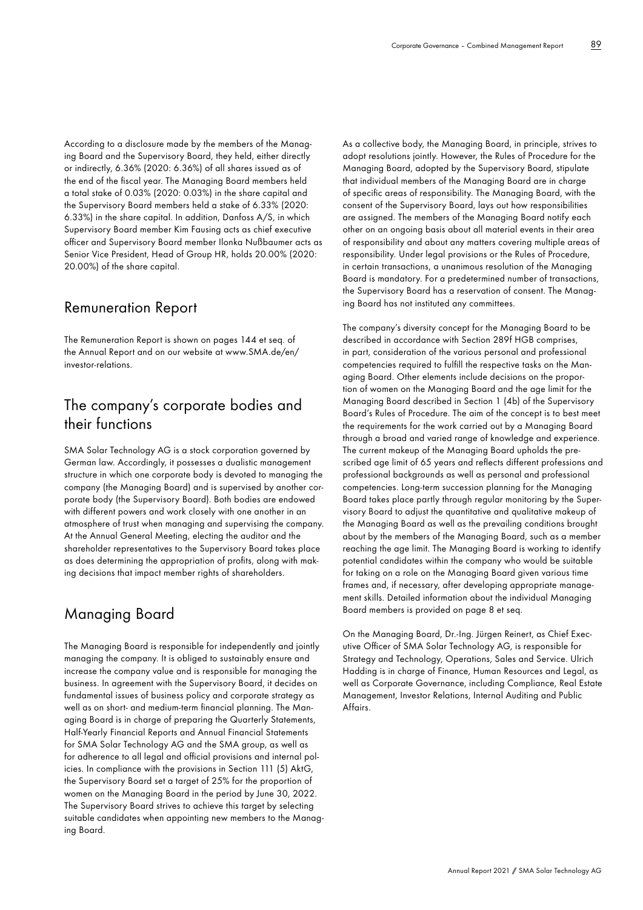According to a disclosure made by the members of the Managing Board and the Supervisory Board, they held, either directly or indirectly, 6.36% (2020: 6.36%) of all shares issued as of the end of the fiscal year. The Managing Board members held a total stake of 0.03% (2020: 0.03%) in the share capital and the Supervisory Board members held a stake of 6.33% (2020: 6.33%) in the share capital. In addition, Danfoss A/S, in which Supervisory Board member Kim Fausing acts as chief executive officer and Supervisory Board member Ilonka Nußbaumer acts as Senior Vice President, Head of Group HR, holds 20.00% (2020: 20.00%) of the share capital.

#### Remuneration Report

The Remuneration Report is shown on pages 144 et seq. of the Annual Report and on our website at [www.SMA.de/en/](http://www.SMA.de/en/investor-relations) [investor-relations](http://www.SMA.de/en/investor-relations).

# The company's corporate bodies and their functions

SMA Solar Technology AG is a stock corporation governed by German law. Accordingly, it possesses a dualistic management structure in which one corporate body is devoted to managing the company (the Managing Board) and is supervised by another corporate body (the Supervisory Board). Both bodies are endowed with different powers and work closely with one another in an atmosphere of trust when managing and supervising the company. At the Annual General Meeting, electing the auditor and the shareholder representatives to the Supervisory Board takes place as does determining the appropriation of profits, along with making decisions that impact member rights of shareholders.

#### Managing Board

The Managing Board is responsible for independently and jointly managing the company. It is obliged to sustainably ensure and increase the company value and is responsible for managing the business. In agreement with the Supervisory Board, it decides on fundamental issues of business policy and corporate strategy as well as on short- and medium-term financial planning. The Managing Board is in charge of preparing the Quarterly Statements, Half-Yearly Financial Reports and Annual Financial Statements for SMA Solar Technology AG and the SMA group, as well as for adherence to all legal and official provisions and internal policies. In compliance with the provisions in Section 111 (5) AktG, the Supervisory Board set a target of 25% for the proportion of women on the Managing Board in the period by June 30, 2022. The Supervisory Board strives to achieve this target by selecting suitable candidates when appointing new members to the Managing Board.

As a collective body, the Managing Board, in principle, strives to adopt resolutions jointly. However, the Rules of Procedure for the Managing Board, adopted by the Supervisory Board, stipulate that individual members of the Managing Board are in charge of specific areas of responsibility. The Managing Board, with the consent of the Supervisory Board, lays out how responsibilities are assigned. The members of the Managing Board notify each other on an ongoing basis about all material events in their area of responsibility and about any matters covering multiple areas of responsibility. Under legal provisions or the Rules of Procedure, in certain transactions, a unanimous resolution of the Managing Board is mandatory. For a predetermined number of transactions, the Supervisory Board has a reservation of consent. The Managing Board has not instituted any committees.

The company's diversity concept for the Managing Board to be described in accordance with Section 289f HGB comprises, in part, consideration of the various personal and professional competencies required to fulfill the respective tasks on the Managing Board. Other elements include decisions on the proportion of women on the Managing Board and the age limit for the Managing Board described in Section 1 (4b) of the Supervisory Board's Rules of Procedure. The aim of the concept is to best meet the requirements for the work carried out by a Managing Board through a broad and varied range of knowledge and experience. The current makeup of the Managing Board upholds the prescribed age limit of 65 years and reflects different professions and professional backgrounds as well as personal and professional competencies. Long-term succession planning for the Managing Board takes place partly through regular monitoring by the Supervisory Board to adjust the quantitative and qualitative makeup of the Managing Board as well as the prevailing conditions brought about by the members of the Managing Board, such as a member reaching the age limit. The Managing Board is working to identify potential candidates within the company who would be suitable for taking on a role on the Managing Board given various time frames and, if necessary, after developing appropriate management skills. Detailed information about the individual Managing Board members is provided on page 8 et seq.

On the Managing Board, Dr.-Ing. Jürgen Reinert, as Chief Executive Officer of SMA Solar Technology AG, is responsible for Strategy and Technology, Operations, Sales and Service. Ulrich Hadding is in charge of Finance, Human Resources and Legal, as well as Corporate Governance, including Compliance, Real Estate Management, Investor Relations, Internal Auditing and Public Affairs.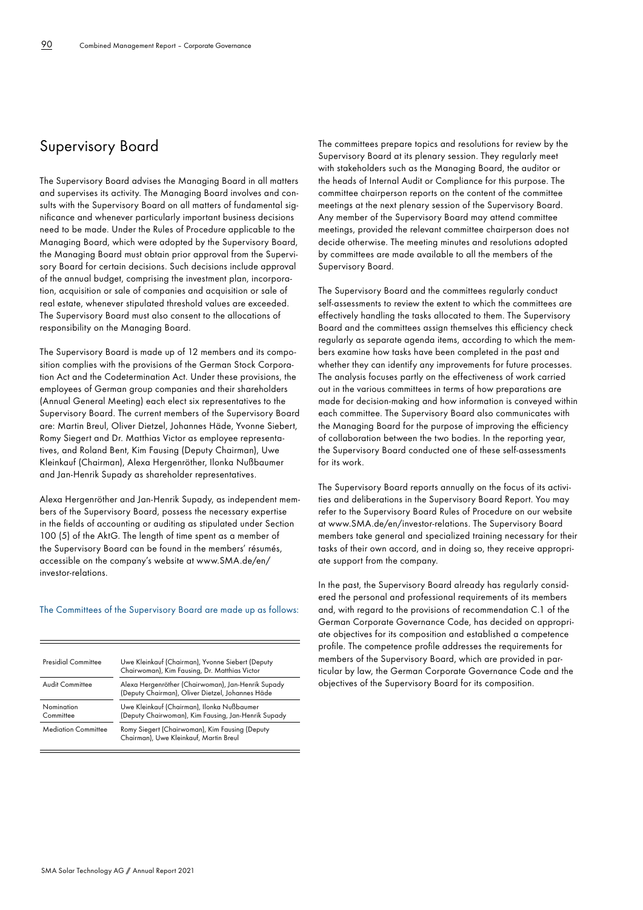# Supervisory Board

The Supervisory Board advises the Managing Board in all matters and supervises its activity. The Managing Board involves and consults with the Supervisory Board on all matters of fundamental significance and whenever particularly important business decisions need to be made. Under the Rules of Procedure applicable to the Managing Board, which were adopted by the Supervisory Board, the Managing Board must obtain prior approval from the Supervisory Board for certain decisions. Such decisions include approval of the annual budget, comprising the investment plan, incorporation, acquisition or sale of companies and acquisition or sale of real estate, whenever stipulated threshold values are exceeded. The Supervisory Board must also consent to the allocations of responsibility on the Managing Board.

The Supervisory Board is made up of 12 members and its composition complies with the provisions of the German Stock Corporation Act and the Codetermination Act. Under these provisions, the employees of German group companies and their shareholders (Annual General Meeting) each elect six representatives to the Supervisory Board. The current members of the Supervisory Board are: Martin Breul, Oliver Dietzel, Johannes Häde, Yvonne Siebert, Romy Siegert and Dr. Matthias Victor as employee representatives, and Roland Bent, Kim Fausing (Deputy Chairman), Uwe Kleinkauf (Chairman), Alexa Hergenröther, Ilonka Nußbaumer and Jan-Henrik Supady as shareholder representatives.

Alexa Hergenröther and Jan-Henrik Supady, as independent members of the Supervisory Board, possess the necessary expertise in the fields of accounting or auditing as stipulated under Section 100 (5) of the AktG. The length of time spent as a member of the Supervisory Board can be found in the members' résumés, accessible on the company's website at [www.SMA.de/en/](http://www.SMA.de/en/investor-relations) [investor-relations.](http://www.SMA.de/en/investor-relations)

#### The Committees of the Supervisory Board are made up as follows:

| Presidial Committee        | Uwe Kleinkauf (Chairman), Yvonne Siebert (Deputy<br>Chairwoman), Kim Fausing, Dr. Matthias Victor      |
|----------------------------|--------------------------------------------------------------------------------------------------------|
| Audit Committee            | Alexa Hergenröther (Chairwoman), Jan-Henrik Supady<br>(Deputy Chairman), Oliver Dietzel, Johannes Häde |
| Nomination<br>Committee    | Uwe Kleinkauf (Chairman), Ilonka Nußbaumer<br>(Deputy Chairwoman), Kim Fausing, Jan-Henrik Supady      |
| <b>Mediation Committee</b> | Romy Siegert (Chairwoman), Kim Fausing (Deputy<br>Chairman), Uwe Kleinkauf, Martin Breul               |

The committees prepare topics and resolutions for review by the Supervisory Board at its plenary session. They regularly meet with stakeholders such as the Managing Board, the auditor or the heads of Internal Audit or Compliance for this purpose. The committee chairperson reports on the content of the committee meetings at the next plenary session of the Supervisory Board. Any member of the Supervisory Board may attend committee meetings, provided the relevant committee chairperson does not decide otherwise. The meeting minutes and resolutions adopted by committees are made available to all the members of the Supervisory Board.

The Supervisory Board and the committees regularly conduct self-assessments to review the extent to which the committees are effectively handling the tasks allocated to them. The Supervisory Board and the committees assign themselves this efficiency check regularly as separate agenda items, according to which the members examine how tasks have been completed in the past and whether they can identify any improvements for future processes. The analysis focuses partly on the effectiveness of work carried out in the various committees in terms of how preparations are made for decision-making and how information is conveyed within each committee. The Supervisory Board also communicates with the Managing Board for the purpose of improving the efficiency of collaboration between the two bodies. In the reporting year, the Supervisory Board conducted one of these self-assessments for its work.

The Supervisory Board reports annually on the focus of its activities and deliberations in the Supervisory Board Report. You may refer to the Supervisory Board Rules of Procedure on our website at [www.SMA.de/en/investor-relations.](http://www.SMA.de/en/investor-relations) The Supervisory Board members take general and specialized training necessary for their tasks of their own accord, and in doing so, they receive appropriate support from the company.

In the past, the Supervisory Board already has regularly considered the personal and professional requirements of its members and, with regard to the provisions of recommendation C.1 of the German Corporate Governance Code, has decided on appropriate objectives for its composition and established a competence profile. The competence profile addresses the requirements for members of the Supervisory Board, which are provided in particular by law, the German Corporate Governance Code and the objectives of the Supervisory Board for its composition.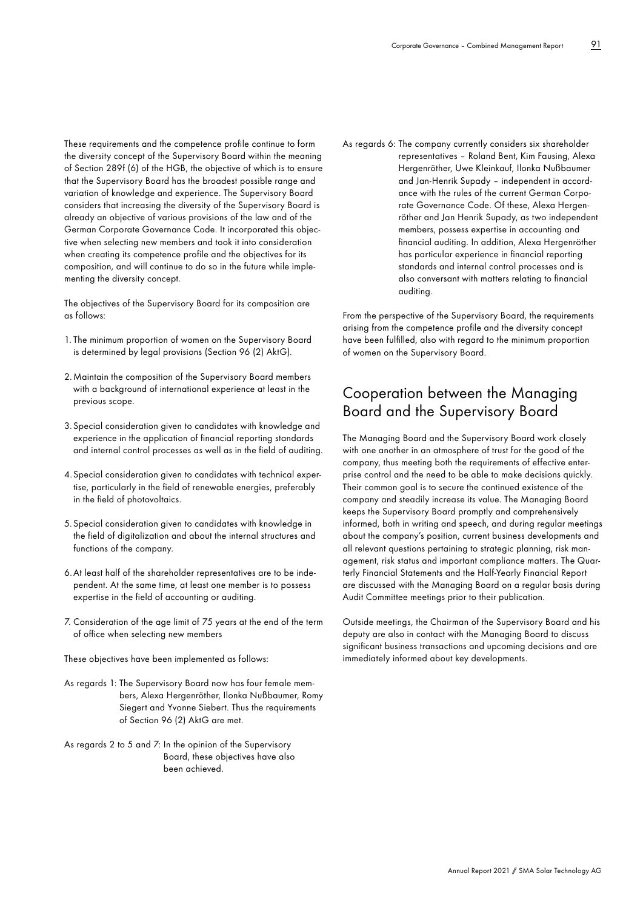These requirements and the competence profile continue to form the diversity concept of the Supervisory Board within the meaning of Section 289f (6) of the HGB, the objective of which is to ensure that the Supervisory Board has the broadest possible range and variation of knowledge and experience. The Supervisory Board considers that increasing the diversity of the Supervisory Board is already an objective of various provisions of the law and of the German Corporate Governance Code. It incorporated this objective when selecting new members and took it into consideration when creating its competence profile and the objectives for its composition, and will continue to do so in the future while implementing the diversity concept.

The objectives of the Supervisory Board for its composition are as follows:

- 1. The minimum proportion of women on the Supervisory Board is determined by legal provisions (Section 96 (2) AktG).
- 2. Maintain the composition of the Supervisory Board members with a background of international experience at least in the previous scope.
- 3. Special consideration given to candidates with knowledge and experience in the application of financial reporting standards and internal control processes as well as in the field of auditing.
- 4. Special consideration given to candidates with technical expertise, particularly in the field of renewable energies, preferably in the field of photovoltaics.
- 5. Special consideration given to candidates with knowledge in the field of digitalization and about the internal structures and functions of the company.
- 6. At least half of the shareholder representatives are to be independent. At the same time, at least one member is to possess expertise in the field of accounting or auditing.
- 7. Consideration of the age limit of 75 years at the end of the term of office when selecting new members

These objectives have been implemented as follows:

- As regards 1: The Supervisory Board now has four female members, Alexa Hergenröther, Ilonka Nußbaumer, Romy Siegert and Yvonne Siebert. Thus the requirements of Section 96 (2) AktG are met.
- As regards 2 to 5 and 7: In the opinion of the Supervisory Board, these objectives have also been achieved.

As regards 6: The company currently considers six shareholder representatives – Roland Bent, Kim Fausing, Alexa Hergenröther, Uwe Kleinkauf, Ilonka Nußbaumer and Jan-Henrik Supady – independent in accordance with the rules of the current German Corporate Governance Code. Of these, Alexa Hergenröther and Jan Henrik Supady, as two independent members, possess expertise in accounting and financial auditing. In addition, Alexa Hergenröther has particular experience in financial reporting standards and internal control processes and is also conversant with matters relating to financial auditing.

From the perspective of the Supervisory Board, the requirements arising from the competence profile and the diversity concept have been fulfilled, also with regard to the minimum proportion of women on the Supervisory Board.

### Cooperation between the Managing Board and the Supervisory Board

The Managing Board and the Supervisory Board work closely with one another in an atmosphere of trust for the good of the company, thus meeting both the requirements of effective enterprise control and the need to be able to make decisions quickly. Their common goal is to secure the continued existence of the company and steadily increase its value. The Managing Board keeps the Supervisory Board promptly and comprehensively informed, both in writing and speech, and during regular meetings about the company's position, current business developments and all relevant questions pertaining to strategic planning, risk management, risk status and important compliance matters. The Quarterly Financial Statements and the Half-Yearly Financial Report are discussed with the Managing Board on a regular basis during Audit Committee meetings prior to their publication.

Outside meetings, the Chairman of the Supervisory Board and his deputy are also in contact with the Managing Board to discuss significant business transactions and upcoming decisions and are immediately informed about key developments.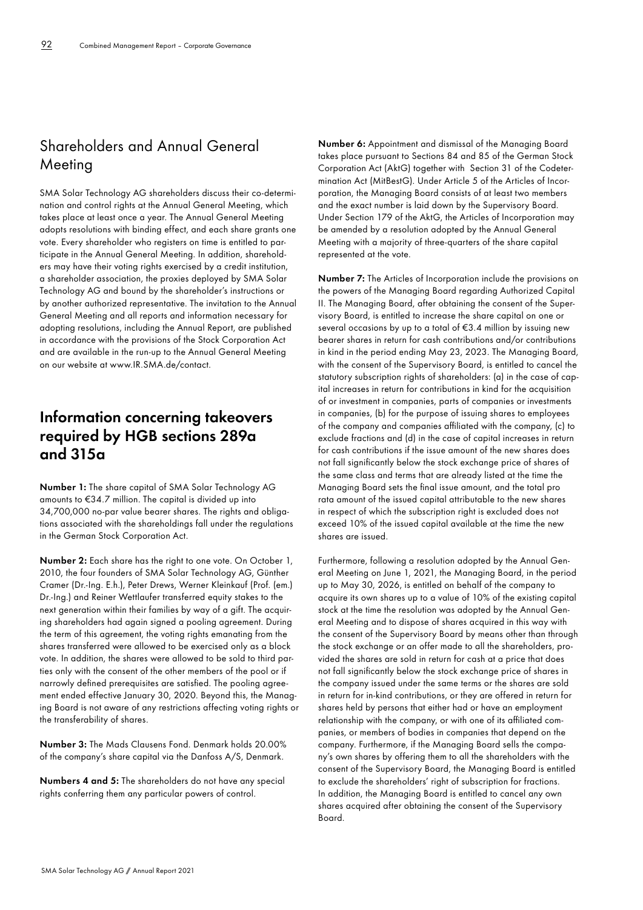# Shareholders and Annual General Meeting

SMA Solar Technology AG shareholders discuss their co-determination and control rights at the Annual General Meeting, which takes place at least once a year. The Annual General Meeting adopts resolutions with binding effect, and each share grants one vote. Every shareholder who registers on time is entitled to participate in the Annual General Meeting. In addition, shareholders may have their voting rights exercised by a credit institution, a shareholder association, the proxies deployed by SMA Solar Technology AG and bound by the shareholder's instructions or by another authorized representative. The invitation to the Annual General Meeting and all reports and information necessary for adopting resolutions, including the Annual Report, are published in accordance with the provisions of the Stock Corporation Act and are available in the run-up to the Annual General Meeting on our website at [www.IR.SMA.de/contact](http://www.IR.SMA.de/contact).

# **Information concerning takeovers required by HGB sections 289a and 315a**

**Number 1:** The share capital of SMA Solar Technology AG amounts to €34.7 million. The capital is divided up into 34,700,000 no-par value bearer shares. The rights and obligations associated with the shareholdings fall under the regulations in the German Stock Corporation Act.

**Number 2:** Each share has the right to one vote. On October 1, 2010, the four founders of SMA Solar Technology AG, Günther Cramer (Dr.-Ing. E.h.), Peter Drews, Werner Kleinkauf (Prof. (em.) Dr.-Ing.) and Reiner Wettlaufer transferred equity stakes to the next generation within their families by way of a gift. The acquiring shareholders had again signed a pooling agreement. During the term of this agreement, the voting rights emanating from the shares transferred were allowed to be exercised only as a block vote. In addition, the shares were allowed to be sold to third parties only with the consent of the other members of the pool or if narrowly defined prerequisites are satisfied. The pooling agreement ended effective January 30, 2020. Beyond this, the Managing Board is not aware of any restrictions affecting voting rights or the transferability of shares.

**Number 3:** The Mads Clausens Fond. Denmark holds 20.00% of the company's share capital via the Danfoss A/S, Denmark.

**Numbers 4 and 5:** The shareholders do not have any special rights conferring them any particular powers of control.

**Number 6:** Appointment and dismissal of the Managing Board takes place pursuant to Sections 84 and 85 of the German Stock Corporation Act (AktG) together with Section 31 of the Codetermination Act (MitBestG). Under Article 5 of the Articles of Incorporation, the Managing Board consists of at least two members and the exact number is laid down by the Supervisory Board. Under Section 179 of the AktG, the Articles of Incorporation may be amended by a resolution adopted by the Annual General Meeting with a majority of three-quarters of the share capital represented at the vote.

**Number 7:** The Articles of Incorporation include the provisions on the powers of the Managing Board regarding Authorized Capital II. The Managing Board, after obtaining the consent of the Supervisory Board, is entitled to increase the share capital on one or several occasions by up to a total of €3.4 million by issuing new bearer shares in return for cash contributions and/or contributions in kind in the period ending May 23, 2023. The Managing Board, with the consent of the Supervisory Board, is entitled to cancel the statutory subscription rights of shareholders: (a) in the case of capital increases in return for contributions in kind for the acquisition of or investment in companies, parts of companies or investments in companies, (b) for the purpose of issuing shares to employees of the company and companies affiliated with the company, (c) to exclude fractions and (d) in the case of capital increases in return for cash contributions if the issue amount of the new shares does not fall significantly below the stock exchange price of shares of the same class and terms that are already listed at the time the Managing Board sets the final issue amount, and the total pro rata amount of the issued capital attributable to the new shares in respect of which the subscription right is excluded does not exceed 10% of the issued capital available at the time the new shares are issued.

Furthermore, following a resolution adopted by the Annual General Meeting on June 1, 2021, the Managing Board, in the period up to May 30, 2026, is entitled on behalf of the company to acquire its own shares up to a value of 10% of the existing capital stock at the time the resolution was adopted by the Annual General Meeting and to dispose of shares acquired in this way with the consent of the Supervisory Board by means other than through the stock exchange or an offer made to all the shareholders, provided the shares are sold in return for cash at a price that does not fall significantly below the stock exchange price of shares in the company issued under the same terms or the shares are sold in return for in-kind contributions, or they are offered in return for shares held by persons that either had or have an employment relationship with the company, or with one of its affiliated companies, or members of bodies in companies that depend on the company. Furthermore, if the Managing Board sells the company's own shares by offering them to all the shareholders with the consent of the Supervisory Board, the Managing Board is entitled to exclude the shareholders' right of subscription for fractions. In addition, the Managing Board is entitled to cancel any own shares acquired after obtaining the consent of the Supervisory Board.